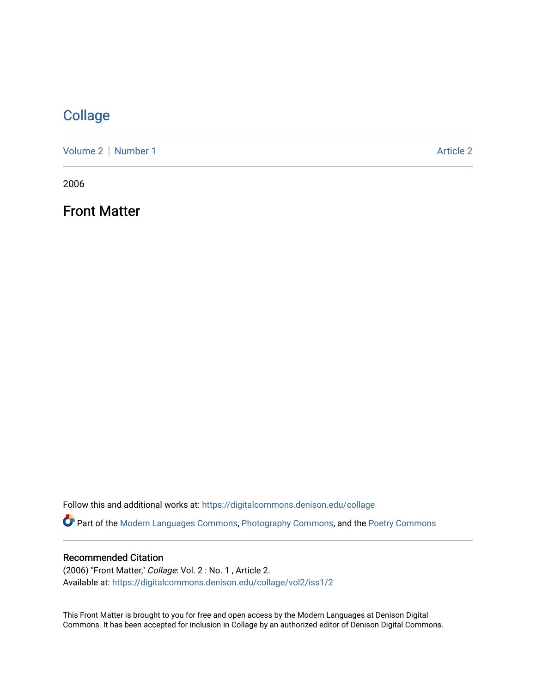## [Collage](https://digitalcommons.denison.edu/collage)

[Volume 2](https://digitalcommons.denison.edu/collage/vol2) | [Number 1](https://digitalcommons.denison.edu/collage/vol2/iss1) Article 2

2006

Front Matter

Follow this and additional works at: [https://digitalcommons.denison.edu/collage](https://digitalcommons.denison.edu/collage?utm_source=digitalcommons.denison.edu%2Fcollage%2Fvol2%2Fiss1%2F2&utm_medium=PDF&utm_campaign=PDFCoverPages)  Part of the [Modern Languages Commons,](http://network.bepress.com/hgg/discipline/1130?utm_source=digitalcommons.denison.edu%2Fcollage%2Fvol2%2Fiss1%2F2&utm_medium=PDF&utm_campaign=PDFCoverPages) [Photography Commons](http://network.bepress.com/hgg/discipline/1142?utm_source=digitalcommons.denison.edu%2Fcollage%2Fvol2%2Fiss1%2F2&utm_medium=PDF&utm_campaign=PDFCoverPages), and the [Poetry Commons](http://network.bepress.com/hgg/discipline/1153?utm_source=digitalcommons.denison.edu%2Fcollage%2Fvol2%2Fiss1%2F2&utm_medium=PDF&utm_campaign=PDFCoverPages)

## Recommended Citation

(2006) "Front Matter," Collage: Vol. 2 : No. 1 , Article 2. Available at: [https://digitalcommons.denison.edu/collage/vol2/iss1/2](https://digitalcommons.denison.edu/collage/vol2/iss1/2?utm_source=digitalcommons.denison.edu%2Fcollage%2Fvol2%2Fiss1%2F2&utm_medium=PDF&utm_campaign=PDFCoverPages) 

This Front Matter is brought to you for free and open access by the Modern Languages at Denison Digital Commons. It has been accepted for inclusion in Collage by an authorized editor of Denison Digital Commons.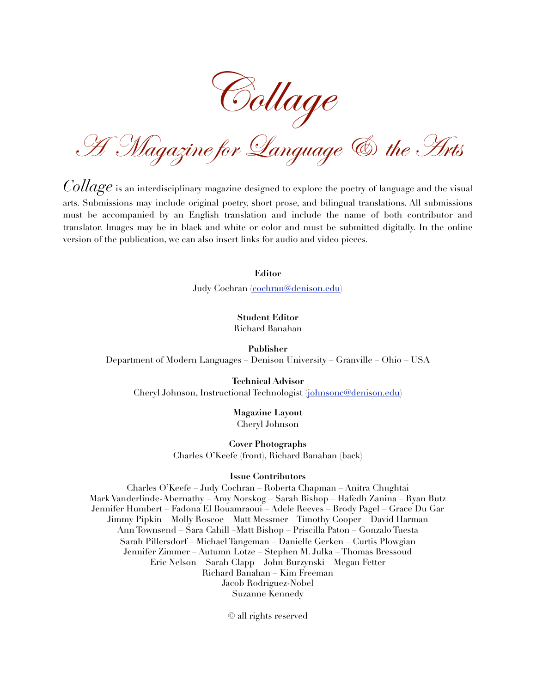Collage

A Magazine for Language & the Arts

*Collage* is an interdisciplinary magazine designed to explore the poetry of language and the visual arts. Submissions may include original poetry, short prose, and bilingual translations. All submissions must be accompanied by an English translation and include the name of both contributor and translator. Images may be in black and white or color and must be submitted digitally. In the online version of the publication, we can also insert links for audio and video pieces.

**Editor**

Judy Cochran [\(cochran@denison.edu\)](mailto:cochran@denison.edu?subject=Collage)

**Student Editor** Richard Banahan

**Publisher** Department of Modern Languages – Denison University – Granville – Ohio – USA

**Technical Advisor** Cheryl Johnson, Instructional Technologist [\(johnsonc@denison.edu\)](mailto:johnsonc@denison.edu?subject=Collage)

> **Magazine Layout** Cheryl Johnson

**Cover Photographs** Charles O'Keefe (front), Richard Banahan (back)

## **Issue Contributors**

Charles O'Keefe – Judy Cochran – Roberta Chapman – Anitra Chughtai Mark Vanderlinde-Abernathy – Amy Norskog – Sarah Bishop – Hafedh Zanina – Ryan Butz Jennifer Humbert – Fadona El Bouamraoui – Adele Reeves – Brody Pagel – Grace Du Gar Jimmy Pipkin – Molly Roscoe – Matt Messmer – Timothy Cooper – David Harman Ann Townsend – Sara Cahill –Matt Bishop – Priscilla Paton – Gonzalo Tuesta Sarah Pillersdorf – Michael Tangeman – Danielle Gerken – Curtis Plowgian Jennifer Zimmer – Autumn Lotze – Stephen M. Julka – Thomas Bressoud Eric Nelson – Sarah Clapp – John Burzynski – Megan Fetter Richard Banahan – Kim Freeman Jacob Rodriguez-Nobel Suzanne Kennedy

© all rights reserved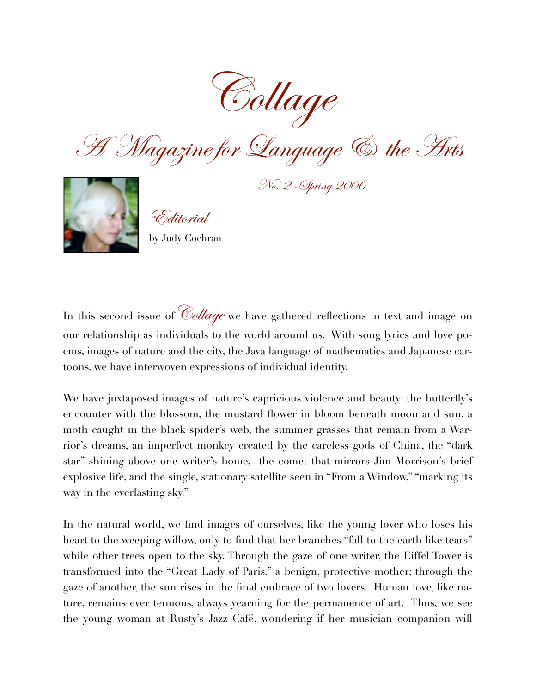

A Magazine for Language & the Arts



No. 2 -Spring 2006

Editorial

by Judy Cochran

In this second issue of  $\mathcal{C}_\text{oldage}$  we have gathered reflections in text and image on our relationship as individuals to the world around us. With song lyrics and love poems, images of nature and the city, the Java language of mathematics and Japanese cartoons, we have interwoven expressions of individual identity.

We have juxtaposed images of nature's capricious violence and beauty: the butterfly's encounter with the blossom, the mustard flower in bloom beneath moon and sun, a moth caught in the black spider's web, the summer grasses that remain from a Warrior's dreams, an imperfect monkey created by the careless gods of China, the "dark star" shining above one writer's home, the comet that mirrors Jim Morrison's brief explosive life, and the single, stationary satellite seen in "From a Window," "marking its way in the everlasting sky."

In the natural world, we find images of ourselves, like the young lover who loses his heart to the weeping willow, only to find that her branches "fall to the earth like tears" while other trees open to the sky. Through the gaze of one writer, the Eiffel Tower is transformed into the "Great Lady of Paris," a benign, protective mother; through the gaze of another, the sun rises in the final embrace of two lovers. Human love, like nature, remains ever tenuous, always yearning for the permanence of art. Thus, we see the young woman at Rusty's Jazz Café, wondering if her musician companion will